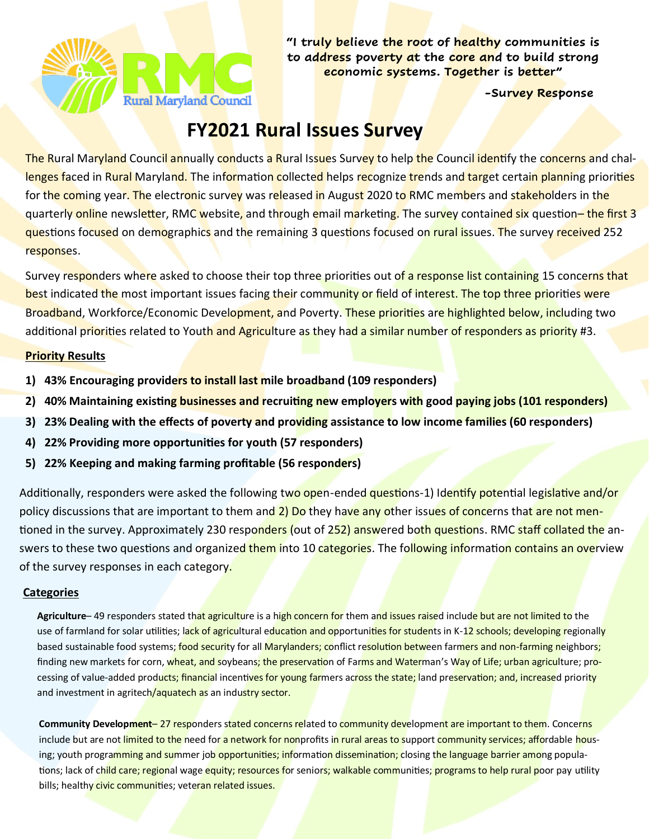

**"I truly believe the root of healthy communities is to address poverty at the core and to build strong economic systems. Together is better"**

 **-Survey Response**

## **FY2021 Rural Issues Survey**

The Rural Maryland Council annually conducts a Rural Issues Survey to help the Council identify the concerns and challenges faced in Rural Maryland. The information collected helps recognize trends and target certain planning priorities for the coming year. The electronic survey was released in August 2020 to RMC members and stakeholders in the quarterly online newsletter, RMC website, and through email marketing. The survey contained six question– the first 3 questions focused on demographics and the remaining 3 questions focused on rural issues. The survey received 252 responses.

Survey responders where asked to choose their top three priorities out of a response list containing 15 concerns that best indicated the most important issues facing their community or field of interest. The top three priorities were Broadband, Workforce/Economic Development, and Poverty. These priorities are highlighted below, including two additional priorities related to Youth and Agriculture as they had a similar number of responders as priority #3.

## **Priority Results**

- **1) 43% Encouraging providers to install last mile broadband (109 responders)**
- **2) 40% Maintaining existing businesses and recruiting new employers with good paying jobs (101 responders)**
- **3) 23% Dealing with the effects of poverty and providing assistance to low income families (60 responders)**
- **4) 22% Providing more opportunities for youth (57 responders)**
- **5) 22% Keeping and making farming profitable (56 responders)**

Additionally, responders were asked the following two open-ended questions-1) Identify potential legislative and/or policy discussions that are important to them and 2) Do they have any other issues of concerns that are not mentioned in the survey. Approximately 230 responders (out of 252) answered both questions. RMC staff collated the answers to these two questions and organized them into 10 categories. The following information contains an overview of the survey responses in each category.

## **Categories**

Agriculture– 49 responders stated that agriculture is a high concern for them and issues raised include but are not limited to the use of farmland for solar utilities; lack of agricultural education and opportunities for students in K-12 schools; developing regionally based sustainable food systems; food security for all Marylanders; conflict resolution between farmers and non-farming neighbors; finding new markets for corn, wheat, and soybeans; the preservation of Farms and Waterman's Way of Life; urban agriculture; processing of value-added products; financial incentives for young farmers across the state; land preservation; and, increased priority and investment in agritech/aquatech as an industry sector.

**Community Development**– 27 responders stated concerns related to community development are important to them. Concerns include but are not limited to the need for a network for nonprofits in rural areas to support community services; affordable housing; youth programming and summer job opportunities; information dissemination; closing the language barrier among populations; lack of child care; regional wage equity; resources for seniors; walkable communities; programs to help rural poor pay utility bills; healthy civic communities; veteran related issues.